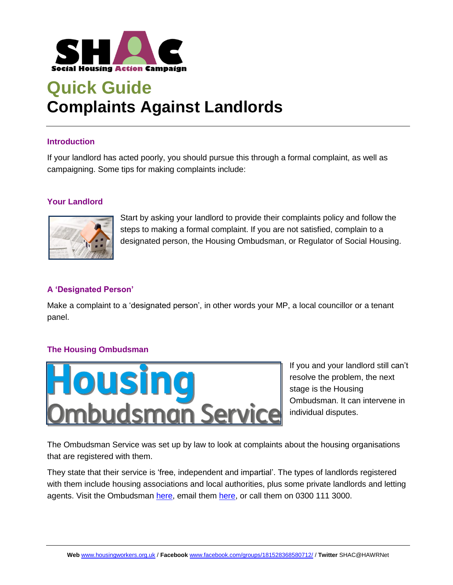

## **Quick Guide Complaints Against Landlords**

#### **Introduction**

If your landlord has acted poorly, you should pursue this through a formal complaint, as well as campaigning. Some tips for making complaints include:

### **Your Landlord**



Start by asking your landlord to provide their complaints policy and follow the steps to making a formal complaint. If you are not satisfied, complain to a designated person, the Housing Ombudsman, or Regulator of Social Housing.

## **A 'Designated Person'**

Make a complaint to a 'designated person', in other words your MP, a local councillor or a tenant panel.

### **The Housing Ombudsman**



If you and your landlord still can't resolve the problem, the next stage is the Housing Ombudsman. It can intervene in individual disputes.

The Ombudsman Service was set up by law to look at complaints about the housing organisations that are registered with them.

They state that their service is 'free, independent and impartial'. The types of landlords registered with them include housing associations and local authorities, plus some private landlords and letting agents. Visit the Ombudsman [here,](mailto:info@housing-ombudsman.org.uk) email them here, or call them on 0300 111 3000.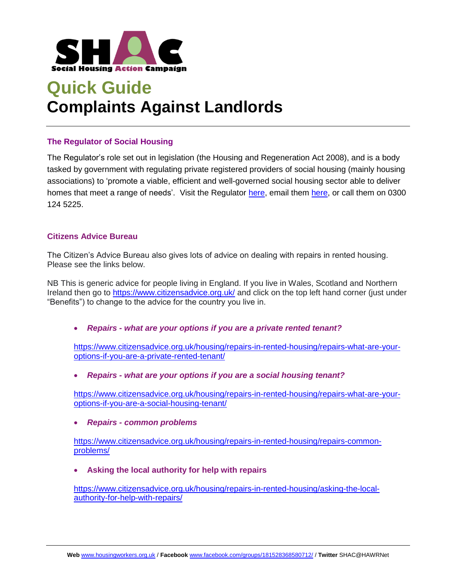

# **Quick Guide Complaints Against Landlords**

### **The Regulator of Social Housing**

The Regulator's role set out in legislation (the Housing and Regeneration Act 2008), and is a body tasked by government with regulating private registered providers of social housing (mainly housing associations) to 'promote a viable, efficient and well-governed social housing sector able to deliver homes that meet a range of needs'. Visit the Regulator [here,](mailto:enquiries@rsh.gov.uk) email them here, or call them on 0300 124 5225.

#### **Citizens Advice Bureau**

The Citizen's Advice Bureau also gives lots of advice on dealing with repairs in rented housing. Please see the links below.

NB This is generic advice for people living in England. If you live in Wales, Scotland and Northern Ireland then go to<https://www.citizensadvice.org.uk/> and click on the top left hand corner (just under "Benefits") to change to the advice for the country you live in.

• *Repairs - what are your options if you are a private rented tenant?*

[https://www.citizensadvice.org.uk/housing/repairs-in-rented-housing/repairs-what-are-your](https://www.citizensadvice.org.uk/housing/repairs-in-rented-housing/repairs-what-are-your-options-if-you-are-a-private-rented-tenant/)[options-if-you-are-a-private-rented-tenant/](https://www.citizensadvice.org.uk/housing/repairs-in-rented-housing/repairs-what-are-your-options-if-you-are-a-private-rented-tenant/)

• *Repairs - what are your options if you are a social housing tenant?*

[https://www.citizensadvice.org.uk/housing/repairs-in-rented-housing/repairs-what-are-your](https://www.citizensadvice.org.uk/housing/repairs-in-rented-housing/repairs-what-are-your-options-if-you-are-a-social-housing-tenant/)[options-if-you-are-a-social-housing-tenant/](https://www.citizensadvice.org.uk/housing/repairs-in-rented-housing/repairs-what-are-your-options-if-you-are-a-social-housing-tenant/)

• *Repairs - common problems*

[https://www.citizensadvice.org.uk/housing/repairs-in-rented-housing/repairs-common](https://www.citizensadvice.org.uk/housing/repairs-in-rented-housing/repairs-common-problems/)[problems/](https://www.citizensadvice.org.uk/housing/repairs-in-rented-housing/repairs-common-problems/)

• **Asking the local authority for help with repairs**

[https://www.citizensadvice.org.uk/housing/repairs-in-rented-housing/asking-the-local](https://www.citizensadvice.org.uk/housing/repairs-in-rented-housing/asking-the-local-authority-for-help-with-repairs/)[authority-for-help-with-repairs/](https://www.citizensadvice.org.uk/housing/repairs-in-rented-housing/asking-the-local-authority-for-help-with-repairs/)